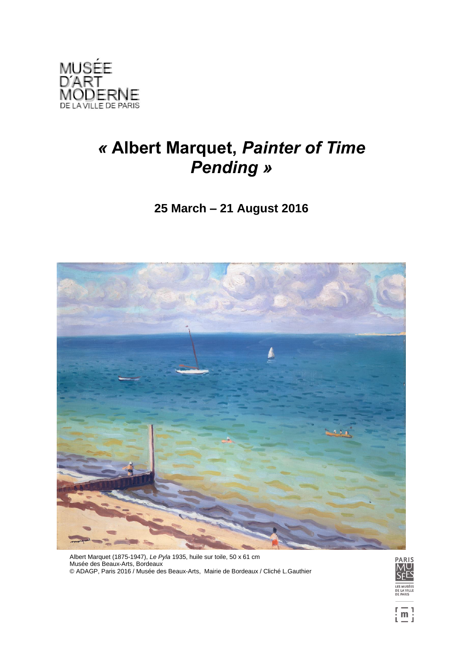

# *«* **Albert Marquet,** *Painter of Time Pending »*

# **25 March – 21 August 2016**



Albert Marquet (1875-1947), *Le Pyla* 1935, huile sur toile, 50 x 61 cm Musée des Beaux-Arts, Bordeaux © ADAGP, Paris 2016 / Musée des Beaux-Arts, Mairie de Bordeaux / Cliché L.Gauthier

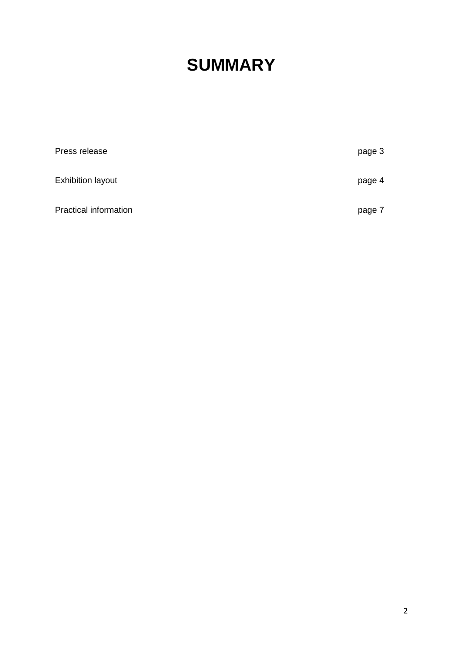# **SUMMARY**

| Press release                | page 3 |
|------------------------------|--------|
| <b>Exhibition layout</b>     | page 4 |
| <b>Practical information</b> | page 7 |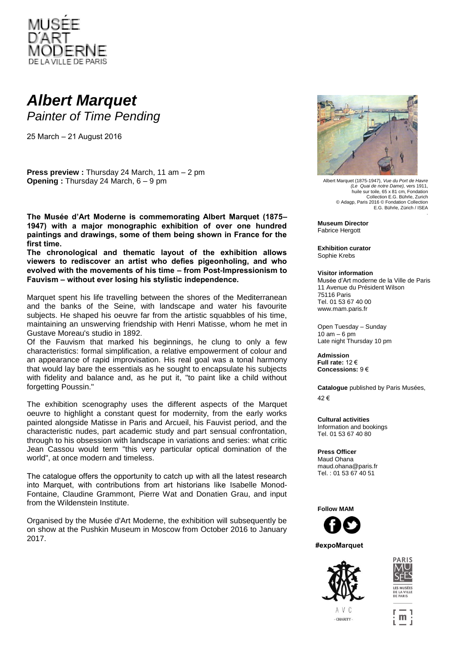

# *Albert Marquet Painter of Time Pending*

25 March – 21 August 2016

**Press preview :** Thursday 24 March, 11 am – 2 pm **Opening :** Thursday 24 March, 6 – 9 pm

**The Musée d'Art Moderne is commemorating Albert Marquet (1875– 1947) with a major monographic exhibition of over one hundred paintings and drawings, some of them being shown in France for the first time.** 

**The chronological and thematic layout of the exhibition allows viewers to rediscover an artist who defies pigeonholing, and who evolved with the movements of his time – from Post-Impressionism to Fauvism – without ever losing his stylistic independence.**

Marquet spent his life travelling between the shores of the Mediterranean and the banks of the Seine, with landscape and water his favourite subjects. He shaped his oeuvre far from the artistic squabbles of his time, maintaining an unswerving friendship with Henri Matisse, whom he met in Gustave Moreau's studio in 1892.

Of the Fauvism that marked his beginnings, he clung to only a few characteristics: formal simplification, a relative empowerment of colour and an appearance of rapid improvisation. His real goal was a tonal harmony that would lay bare the essentials as he sought to encapsulate his subjects with fidelity and balance and, as he put it, "to paint like a child without forgetting Poussin."

The exhibition scenography uses the different aspects of the Marquet oeuvre to highlight a constant quest for modernity, from the early works painted alongside Matisse in Paris and Arcueil, his Fauvist period, and the characteristic nudes, part academic study and part sensual confrontation, through to his obsession with landscape in variations and series: what critic Jean Cassou would term "this very particular optical domination of the world", at once modern and timeless.

The catalogue offers the opportunity to catch up with all the latest research into Marquet, with contributions from art historians like Isabelle Monod-Fontaine, Claudine Grammont, Pierre Wat and Donatien Grau, and input from the Wildenstein Institute.

Organised by the Musée d'Art Moderne, the exhibition will subsequently be on show at the Pushkin Museum in Moscow from October 2016 to January 2017.



Albert Marquet (1875-1947), *Vue du Port de Havre (Le Quai de notre Dame),* vers 1911, huile sur toile, 65 x 81 cm, Fondation Collection E.G. Bührle, Zurich © Adagp, Paris 2016 © Fondation Collection E.G. Bührle, Zürich / ISEA

**Museum Director** Fabrice Hergott

**Exhibition curator** Sophie Krebs

#### **Visitor information**

Musée d'Art moderne de la Ville de Paris 11 Avenue du Président Wilson 75116 Paris Tel. 01 53 67 40 00 www.mam.paris.fr

Open Tuesday – Sunday  $10$  am  $-6$  pm Late night Thursday 10 pm

**Admission Full rate:** 12 € **Concessions:** 9 €

**Catalogue** published by Paris Musées,  $42 \in$ 

**Cultural activities** Information and bookings Tel. 01 53 67 40 80

**Press Officer** Maud Ohana maud.ohana@paris.fr Tel. : 01 53 67 40 51



**#expoMarquet** 





A V C - CHARITY

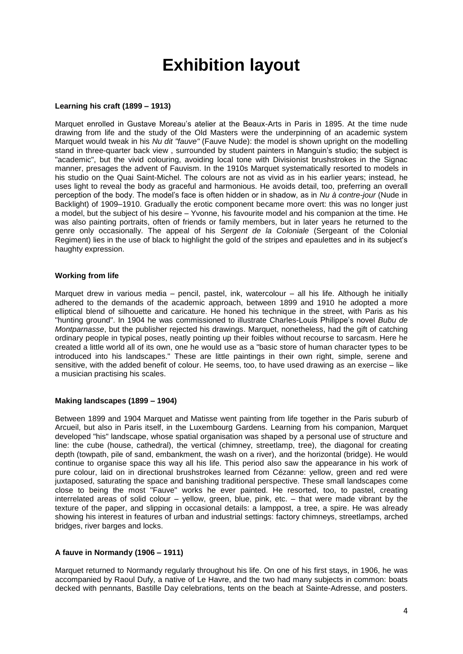# **Exhibition layout**

### **Learning his craft (1899 – 1913)**

Marquet enrolled in Gustave Moreau's atelier at the Beaux-Arts in Paris in 1895. At the time nude drawing from life and the study of the Old Masters were the underpinning of an academic system Marquet would tweak in his *Nu dit "fauve"* (Fauve Nude): the model is shown upright on the modelling stand in three-quarter back view , surrounded by student painters in Manguin's studio; the subject is "academic", but the vivid colouring, avoiding local tone with Divisionist brushstrokes in the Signac manner, presages the advent of Fauvism. In the 1910s Marquet systematically resorted to models in his studio on the Quai Saint-Michel. The colours are not as vivid as in his earlier years; instead, he uses light to reveal the body as graceful and harmonious. He avoids detail, too, preferring an overall perception of the body. The model's face is often hidden or in shadow, as in *Nu à contre-jour* (Nude in Backlight) of 1909–1910. Gradually the erotic component became more overt: this was no longer just a model, but the subject of his desire – Yvonne, his favourite model and his companion at the time. He was also painting portraits, often of friends or family members, but in later years he returned to the genre only occasionally. The appeal of his *Sergent de la Coloniale* (Sergeant of the Colonial Regiment) lies in the use of black to highlight the gold of the stripes and epaulettes and in its subject's haughty expression.

#### **Working from life**

Marquet drew in various media – pencil, pastel, ink, watercolour – all his life. Although he initially adhered to the demands of the academic approach, between 1899 and 1910 he adopted a more elliptical blend of silhouette and caricature. He honed his technique in the street, with Paris as his "hunting ground". In 1904 he was commissioned to illustrate Charles-Louis Philippe's novel *Bubu de Montparnasse*, but the publisher rejected his drawings. Marquet, nonetheless, had the gift of catching ordinary people in typical poses, neatly pointing up their foibles without recourse to sarcasm. Here he created a little world all of its own, one he would use as a "basic store of human character types to be introduced into his landscapes." These are little paintings in their own right, simple, serene and sensitive, with the added benefit of colour. He seems, too, to have used drawing as an exercise – like a musician practising his scales.

#### **Making landscapes (1899 – 1904)**

Between 1899 and 1904 Marquet and Matisse went painting from life together in the Paris suburb of Arcueil, but also in Paris itself, in the Luxembourg Gardens. Learning from his companion, Marquet developed "his" landscape, whose spatial organisation was shaped by a personal use of structure and line: the cube (house, cathedral), the vertical (chimney, streetlamp, tree), the diagonal for creating depth (towpath, pile of sand, embankment, the wash on a river), and the horizontal (bridge). He would continue to organise space this way all his life. This period also saw the appearance in his work of pure colour, laid on in directional brushstrokes learned from Cézanne: yellow, green and red were juxtaposed, saturating the space and banishing traditional perspective. These small landscapes come close to being the most "Fauve" works he ever painted. He resorted, too, to pastel, creating interrelated areas of solid colour – yellow, green, blue, pink, etc. – that were made vibrant by the texture of the paper, and slipping in occasional details: a lamppost, a tree, a spire. He was already showing his interest in features of urban and industrial settings: factory chimneys, streetlamps, arched bridges, river barges and locks.

## **A fauve in Normandy (1906 – 1911)**

Marquet returned to Normandy regularly throughout his life. On one of his first stays, in 1906, he was accompanied by Raoul Dufy, a native of Le Havre, and the two had many subjects in common: boats decked with pennants, Bastille Day celebrations, tents on the beach at Sainte-Adresse, and posters.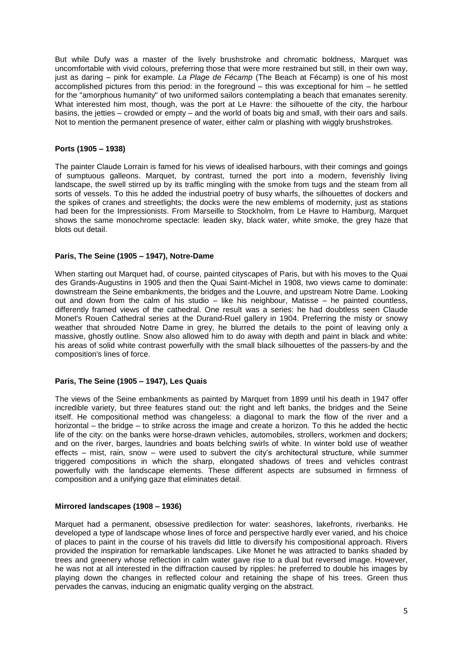But while Dufy was a master of the lively brushstroke and chromatic boldness, Marquet was uncomfortable with vivid colours, preferring those that were more restrained but still, in their own way, just as daring – pink for example. *La Plage de Fécamp* (The Beach at Fécamp) is one of his most accomplished pictures from this period: in the foreground – this was exceptional for him – he settled for the "amorphous humanity" of two uniformed sailors contemplating a beach that emanates serenity. What interested him most, though, was the port at Le Havre: the silhouette of the city, the harbour basins, the jetties – crowded or empty – and the world of boats big and small, with their oars and sails. Not to mention the permanent presence of water, either calm or plashing with wiggly brushstrokes.

### **Ports (1905 – 1938)**

The painter Claude Lorrain is famed for his views of idealised harbours, with their comings and goings of sumptuous galleons. Marquet, by contrast, turned the port into a modern, feverishly living landscape, the swell stirred up by its traffic mingling with the smoke from tugs and the steam from all sorts of vessels. To this he added the industrial poetry of busy wharfs, the silhouettes of dockers and the spikes of cranes and streetlights; the docks were the new emblems of modernity, just as stations had been for the Impressionists. From Marseille to Stockholm, from Le Havre to Hamburg, Marquet shows the same monochrome spectacle: leaden sky, black water, white smoke, the grey haze that blots out detail.

### **Paris, The Seine (1905 – 1947), Notre-Dame**

When starting out Marquet had, of course, painted cityscapes of Paris, but with his moves to the Quai des Grands-Augustins in 1905 and then the Quai Saint-Michel in 1908, two views came to dominate: downstream the Seine embankments, the bridges and the Louvre, and upstream Notre Dame. Looking out and down from the calm of his studio – like his neighbour, Matisse – he painted countless, differently framed views of the cathedral. One result was a series: he had doubtless seen Claude Monet's Rouen Cathedral series at the Durand-Ruel gallery in 1904. Preferring the misty or snowy weather that shrouded Notre Dame in grey, he blurred the details to the point of leaving only a massive, ghostly outline. Snow also allowed him to do away with depth and paint in black and white: his areas of solid white contrast powerfully with the small black silhouettes of the passers-by and the composition's lines of force.

#### **Paris, The Seine (1905 – 1947), Les Quais**

The views of the Seine embankments as painted by Marquet from 1899 until his death in 1947 offer incredible variety, but three features stand out: the right and left banks, the bridges and the Seine itself. He compositional method was changeless: a diagonal to mark the flow of the river and a horizontal – the bridge – to strike across the image and create a horizon. To this he added the hectic life of the city: on the banks were horse-drawn vehicles, automobiles, strollers, workmen and dockers; and on the river, barges, laundries and boats belching swirls of white. In winter bold use of weather effects – mist, rain, snow – were used to subvert the city's architectural structure, while summer triggered compositions in which the sharp, elongated shadows of trees and vehicles contrast powerfully with the landscape elements. These different aspects are subsumed in firmness of composition and a unifying gaze that eliminates detail.

# **Mirrored landscapes (1908 – 1936)**

Marquet had a permanent, obsessive predilection for water: seashores, lakefronts, riverbanks. He developed a type of landscape whose lines of force and perspective hardly ever varied, and his choice of places to paint in the course of his travels did little to diversify his compositional approach. Rivers provided the inspiration for remarkable landscapes. Like Monet he was attracted to banks shaded by trees and greenery whose reflection in calm water gave rise to a dual but reversed image. However, he was not at all interested in the diffraction caused by ripples: he preferred to double his images by playing down the changes in reflected colour and retaining the shape of his trees. Green thus pervades the canvas, inducing an enigmatic quality verging on the abstract.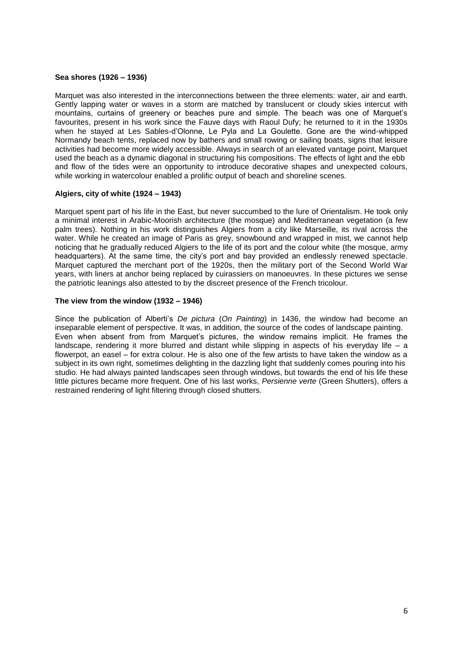### **Sea shores (1926 – 1936)**

Marquet was also interested in the interconnections between the three elements: water, air and earth. Gently lapping water or waves in a storm are matched by translucent or cloudy skies intercut with mountains, curtains of greenery or beaches pure and simple. The beach was one of Marquet's favourites, present in his work since the Fauve days with Raoul Dufy; he returned to it in the 1930s when he stayed at Les Sables-d'Olonne, Le Pyla and La Goulette. Gone are the wind-whipped Normandy beach tents, replaced now by bathers and small rowing or sailing boats, signs that leisure activities had become more widely accessible. Always in search of an elevated vantage point, Marquet used the beach as a dynamic diagonal in structuring his compositions. The effects of light and the ebb and flow of the tides were an opportunity to introduce decorative shapes and unexpected colours, while working in watercolour enabled a prolific output of beach and shoreline scenes.

### **Algiers, city of white (1924 – 1943)**

Marquet spent part of his life in the East, but never succumbed to the lure of Orientalism. He took only a minimal interest in Arabic-Moorish architecture (the mosque) and Mediterranean vegetation (a few palm trees). Nothing in his work distinguishes Algiers from a city like Marseille, its rival across the water. While he created an image of Paris as grey, snowbound and wrapped in mist, we cannot help noticing that he gradually reduced Algiers to the life of its port and the colour white (the mosque, army headquarters). At the same time, the city's port and bay provided an endlessly renewed spectacle. Marquet captured the merchant port of the 1920s, then the military port of the Second World War years, with liners at anchor being replaced by cuirassiers on manoeuvres. In these pictures we sense the patriotic leanings also attested to by the discreet presence of the French tricolour.

#### **The view from the window (1932 – 1946)**

Since the publication of Alberti's *De pictura* (*On Painting*) in 1436, the window had become an inseparable element of perspective. It was, in addition, the source of the codes of landscape painting. Even when absent from from Marquet's pictures, the window remains implicit. He frames the landscape, rendering it more blurred and distant while slipping in aspects of his everyday life – a flowerpot, an easel – for extra colour. He is also one of the few artists to have taken the window as a subject in its own right, sometimes delighting in the dazzling light that suddenly comes pouring into his studio. He had always painted landscapes seen through windows, but towards the end of his life these little pictures became more frequent. One of his last works, *Persienne verte* (Green Shutters), offers a restrained rendering of light filtering through closed shutters.